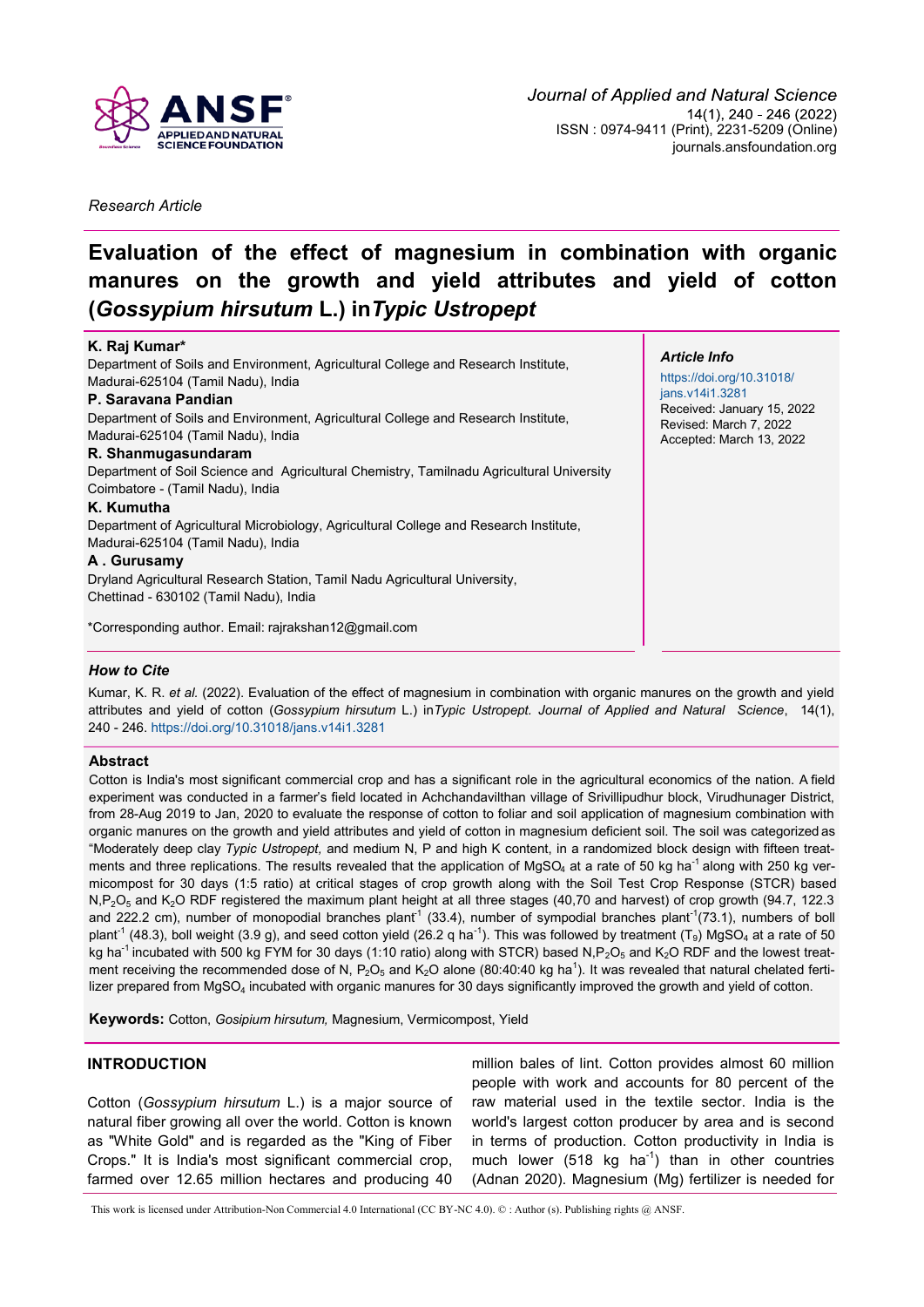

*Research Article*

# **Evaluation of the effect of magnesium in combination with organic manures on the growth and yield attributes and yield of cotton (***Gossypium hirsutum* **L.) in***Typic Ustropept*

## **K. Raj Kumar\***

Department of Soils and Environment, Agricultural College and Research Institute, Madurai-625104 (Tamil Nadu), India

## **P. Saravana Pandian**

Department of Soils and Environment, Agricultural College and Research Institute, Madurai-625104 (Tamil Nadu), India

#### **R. Shanmugasundaram**

Department of Soil Science and Agricultural Chemistry, Tamilnadu Agricultural University Coimbatore - (Tamil Nadu), India

#### **K. Kumutha**

Department of Agricultural Microbiology, Agricultural College and Research Institute, Madurai-625104 (Tamil Nadu), India

## **A . Gurusamy**

Dryland Agricultural Research Station, Tamil Nadu Agricultural University, Chettinad - 630102 (Tamil Nadu), India

\*Corresponding author. Email: [rajrakshan12@gmail.com](mailto:rajrakshan12@gmail.com)

#### *Article Info*

[https://doi.org/10.31018/](https://doi.org/10.31018/jans.v14i1.3281) [jans.v14i1.3281](https://doi.org/10.31018/jans.v14i1.3281) Received: January 15, 2022 Revised: March 7, 2022 Accepted: March 13, 2022

# *How to Cite*

Kumar, K. R. *et al.* (2022). Evaluation of the effect of magnesium in combination with organic manures on the growth and yield attributes and yield of cotton (*Gossypium hirsutum* L.) in*Typic Ustropept. Journal of Applied and Natural Science*, 14(1), 240 - 246.<https://doi.org/10.31018/jans.v14i1.3281>

#### **Abstract**

Cotton is India's most significant commercial crop and has a significant role in the agricultural economics of the nation. A field experiment was conducted in a farmer's field located in Achchandavilthan village of Srivillipudhur block, Virudhunager District, from 28-Aug 2019 to Jan, 2020 to evaluate the response of cotton to foliar and soil application of magnesium combination with organic manures on the growth and yield attributes and yield of cotton in magnesium deficient soil. The soil was categorized as "Moderately deep clay *Typic Ustropept,* and medium N, P and high K content, in a randomized block design with fifteen treatments and three replications. The results revealed that the application of  $MgSO<sub>4</sub>$  at a rate of 50 kg ha<sup>-1</sup> along with 250 kg vermicompost for 30 days (1:5 ratio) at critical stages of crop growth along with the Soil Test Crop Response (STCR) based  $N, P_2O_5$  and  $K_2O$  RDF registered the maximum plant height at all three stages (40,70 and harvest) of crop growth (94.7, 122.3 and 222.2 cm), number of monopodial branches plant<sup>1</sup> (33.4), number of sympodial branches plant<sup>-1</sup>(73.1), numbers of boll plant<sup>-1</sup> (48.3), boll weight (3.9 g), and seed cotton yield (26.2 q ha<sup>-1</sup>). This was followed by treatment (T<sub>9</sub>) MgSO<sub>4</sub> at a rate of 50 kg ha<sup>-1</sup> incubated with 500 kg FYM for 30 days (1:10 ratio) along with STCR) based N,P<sub>2</sub>O<sub>5</sub> and K<sub>2</sub>O RDF and the lowest treatment receiving the recommended dose of N, P<sub>2</sub>O<sub>5</sub> and K<sub>2</sub>O alone (80:40:40 kg ha<sup>1</sup>). It was revealed that natural chelated fertilizer prepared from MgSO<sub>4</sub> incubated with organic manures for 30 days significantly improved the growth and yield of cotton.

**Keywords:** Cotton, *Gosipium hirsutum,* Magnesium, Vermicompost, Yield

# **INTRODUCTION**

Cotton (*Gossypium hirsutum* L.) is a major source of natural fiber growing all over the world. Cotton is known as "White Gold" and is regarded as the "King of Fiber Crops." It is India's most significant commercial crop, farmed over 12.65 million hectares and producing 40 million bales of lint. Cotton provides almost 60 million people with work and accounts for 80 percent of the raw material used in the textile sector. India is the world's largest cotton producer by area and is second in terms of production. Cotton productivity in India is much lower (518 kg ha<sup>-1</sup>) than in other countries (Adnan 2020). Magnesium (Mg) fertilizer is needed for

This work is licensed under Attribution-Non Commercial 4.0 International (CC BY-NC 4.0). © : Author (s). Publishing rights @ ANSF.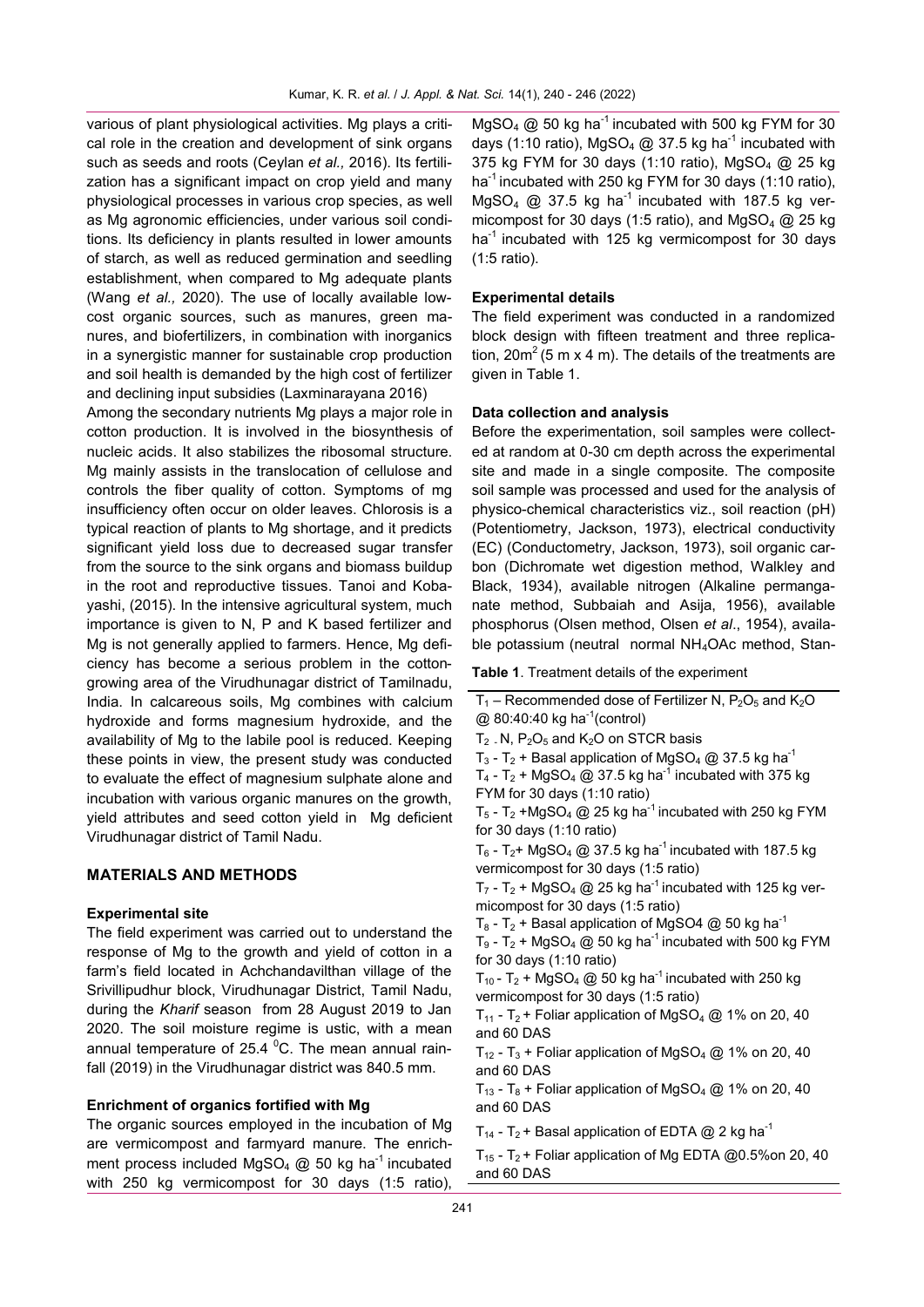various of plant physiological activities. Mg plays a critical role in the creation and development of sink organs such as seeds and roots (Ceylan *et al.,* 2016). Its fertilization has a significant impact on crop yield and many physiological processes in various crop species, as well as Mg agronomic efficiencies, under various soil conditions. Its deficiency in plants resulted in lower amounts of starch, as well as reduced germination and seedling establishment, when compared to Mg adequate plants (Wang *et al.,* 2020). The use of locally available lowcost organic sources, such as manures, green manures, and biofertilizers, in combination with inorganics in a synergistic manner for sustainable crop production and soil health is demanded by the high cost of fertilizer and declining input subsidies (Laxminarayana 2016)

Among the secondary nutrients Mg plays a major role in cotton production. It is involved in the biosynthesis of nucleic acids. It also stabilizes the ribosomal structure. Mg mainly assists in the translocation of cellulose and controls the fiber quality of cotton. Symptoms of mg insufficiency often occur on older leaves. Chlorosis is a typical reaction of plants to Mg shortage, and it predicts significant yield loss due to decreased sugar transfer from the source to the sink organs and biomass buildup in the root and reproductive tissues. Tanoi and Kobayashi, (2015). In the intensive agricultural system, much importance is given to N, P and K based fertilizer and Mg is not generally applied to farmers. Hence, Mg deficiency has become a serious problem in the cottongrowing area of the Virudhunagar district of Tamilnadu, India. In calcareous soils, Mg combines with calcium hydroxide and forms magnesium hydroxide, and the availability of Mg to the labile pool is reduced. Keeping these points in view, the present study was conducted to evaluate the effect of magnesium sulphate alone and incubation with various organic manures on the growth, yield attributes and seed cotton yield in Mg deficient Virudhunagar district of Tamil Nadu.

## **MATERIALS AND METHODS**

#### **Experimental site**

The field experiment was carried out to understand the response of Mg to the growth and yield of cotton in a farm's field located in Achchandavilthan village of the Srivillipudhur block, Virudhunagar District, Tamil Nadu, during the *Kharif* season from 28 August 2019 to Jan 2020. The soil moisture regime is ustic, with a mean annual temperature of 25.4 $\,^0$ C. The mean annual rainfall (2019) in the Virudhunagar district was 840.5 mm.

#### **Enrichment of organics fortified with Mg**

The organic sources employed in the incubation of Mg are vermicompost and farmyard manure. The enrichment process included MgSO<sub>4</sub> @ 50 kg ha<sup>-1</sup> incubated with 250 kg vermicompost for 30 days (1:5 ratio),

MgSO<sub>4</sub>  $@$  50 kg ha<sup>-1</sup> incubated with 500 kg FYM for 30 days (1:10 ratio), MgSO<sub>4</sub> @ 37.5 kg ha<sup>-1</sup> incubated with 375 kg FYM for 30 days (1:10 ratio), MgSO<sub>4</sub> @ 25 kg ha<sup>-1</sup> incubated with 250 kg FYM for 30 days (1:10 ratio),  $MqSO<sub>4</sub>$  @ 37.5 kg ha<sup>-1</sup> incubated with 187.5 kg vermicompost for 30 days (1:5 ratio), and MgSO<sub>4</sub>  $@$  25 kg ha<sup>-1</sup> incubated with 125 kg vermicompost for 30 days (1:5 ratio).

#### **Experimental details**

The field experiment was conducted in a randomized block design with fifteen treatment and three replication,  $20m^2$  (5 m x 4 m). The details of the treatments are given in Table 1.

#### **Data collection and analysis**

Before the experimentation, soil samples were collected at random at 0-30 cm depth across the experimental site and made in a single composite. The composite soil sample was processed and used for the analysis of physico-chemical characteristics viz., soil reaction (pH) (Potentiometry, Jackson, 1973), electrical conductivity (EC) (Conductometry, Jackson, 1973), soil organic carbon (Dichromate wet digestion method, Walkley and Black, 1934), available nitrogen (Alkaline permanganate method, Subbaiah and Asija, 1956), available phosphorus (Olsen method, Olsen *et al*., 1954), available potassium (neutral normal NH4OAc method, Stan-

**Table 1**. Treatment details of the experiment

```
T_1 – Recommended dose of Fertilizer N, P<sub>2</sub>O<sub>5</sub> and K<sub>2</sub>O
@ 80:40:40 kg ha<sup>-1</sup>(control)
T_2 . N, P_2O_5 and K_2O on STCR basis
T_3 - T<sub>2</sub> + Basal application of MgSO<sub>4</sub> @ 37.5 kg ha<sup>-1</sup>
```
T<sub>4</sub> - T<sub>2</sub> + MgSO<sub>4</sub> @ 37.5 kg ha<sup>-1</sup> incubated with 375 kg FYM for 30 days (1:10 ratio)

 $T_5$  -  $T_2$  +MgSO<sub>4</sub> @ 25 kg ha<sup>-1</sup> incubated with 250 kg FYM for 30 days (1:10 ratio)

 $T_6$  - T<sub>2</sub>+ MgSO<sub>4</sub> @ 37.5 kg ha<sup>-1</sup> incubated with 187.5 kg vermicompost for 30 days (1:5 ratio)

 $T_7$  -  $T_2$  + MgSO<sub>4</sub> @ 25 kg ha<sup>-1</sup> incubated with 125 kg vermicompost for 30 days (1:5 ratio)

 $T_8$  - T<sub>2</sub> + Basal application of MgSO4 @ 50 kg ha<sup>-1</sup>

 $T_9$  -  $T_2$  + MgSO<sub>4</sub> @ 50 kg ha<sup>-1</sup> incubated with 500 kg FYM for 30 days (1:10 ratio)

 $T_{10}$  - T<sub>2</sub> + MgSO<sub>4</sub> @ 50 kg ha<sup>-1</sup> incubated with 250 kg vermicompost for 30 days (1:5 ratio)

 $T_{11}$  -  $T_2$  + Foliar application of MgSO<sub>4</sub> @ 1% on 20, 40 and 60 DAS

 $T_{12}$  - T<sub>3</sub> + Foliar application of MgSO<sub>4</sub> @ 1% on 20, 40 and 60 DAS

 $T_{13}$  - T<sub>8</sub> + Foliar application of MgSO<sub>4</sub> @ 1% on 20, 40 and 60 DAS

 $T_{14}$  - T<sub>2</sub> + Basal application of EDTA @ 2 kg ha<sup>-1</sup>

 $T_{15}$  - T<sub>2</sub> + Foliar application of Mg EDTA @0.5%on 20, 40 and 60 DAS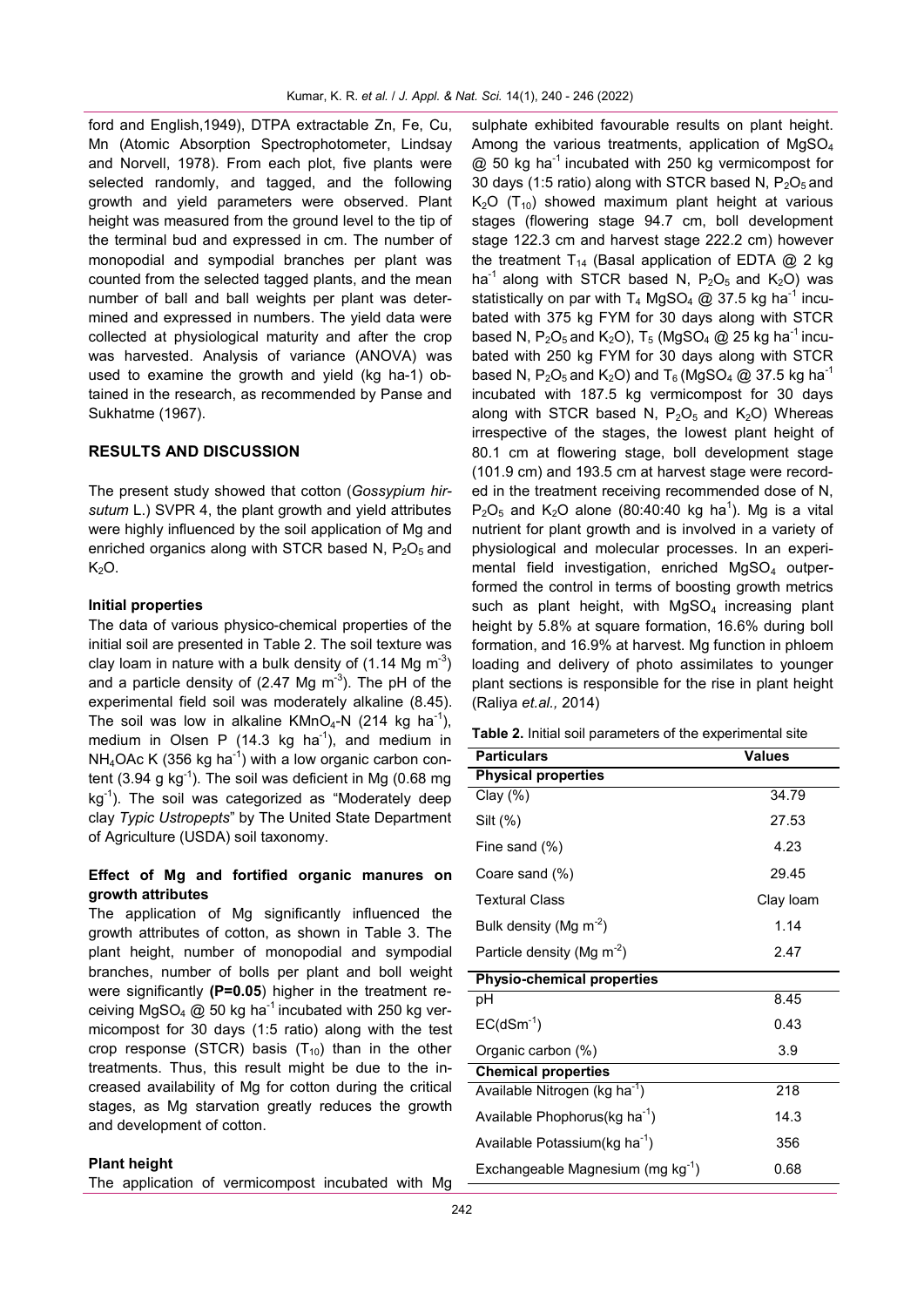ford and English,1949), DTPA extractable Zn, Fe, Cu, Mn (Atomic Absorption Spectrophotometer, Lindsay and Norvell, 1978). From each plot, five plants were selected randomly, and tagged, and the following growth and yield parameters were observed. Plant height was measured from the ground level to the tip of the terminal bud and expressed in cm. The number of monopodial and sympodial branches per plant was counted from the selected tagged plants, and the mean number of ball and ball weights per plant was determined and expressed in numbers. The yield data were collected at physiological maturity and after the crop was harvested. Analysis of variance (ANOVA) was used to examine the growth and yield (kg ha-1) obtained in the research, as recommended by Panse and Sukhatme (1967).

## **RESULTS AND DISCUSSION**

The present study showed that cotton (*Gossypium hirsutum* L.) SVPR 4, the plant growth and yield attributes were highly influenced by the soil application of Mg and enriched organics along with STCR based N,  $P_2O_5$  and  $K<sub>2</sub>O$ .

## **Initial properties**

The data of various physico-chemical properties of the initial soil are presented in Table 2. The soil texture was clay loam in nature with a bulk density of  $(1.14 \text{ Mg m}^{-3})$ and a particle density of (2.47 Mg m<sup>-3</sup>). The pH of the experimental field soil was moderately alkaline (8.45). The soil was low in alkaline  $K MnO_4$ -N (214 kg ha<sup>-1</sup>), medium in Olsen P (14.3 kg ha<sup>-1</sup>), and medium in  $NH<sub>4</sub>OAc K$  (356 kg ha<sup>-1</sup>) with a low organic carbon content (3.94 g kg $^{-1}$ ). The soil was deficient in Mg (0.68 mg kg<sup>-1</sup>). The soil was categorized as "Moderately deep clay *Typic Ustropepts*" by The United State Department of Agriculture (USDA) soil taxonomy.

# **Effect of Mg and fortified organic manures on growth attributes**

The application of Mg significantly influenced the growth attributes of cotton, as shown in Table 3. The plant height, number of monopodial and sympodial branches, number of bolls per plant and boll weight were significantly **(P=0.05**) higher in the treatment receiving MgSO<sub>4</sub> @ 50 kg ha<sup>-1</sup> incubated with 250 kg vermicompost for 30 days (1:5 ratio) along with the test crop response (STCR) basis  $(T_{10})$  than in the other treatments. Thus, this result might be due to the increased availability of Mg for cotton during the critical stages, as Mg starvation greatly reduces the growth and development of cotton.

#### **Plant height**

The application of vermicompost incubated with Mg

sulphate exhibited favourable results on plant height. Among the various treatments, application of MgSO<sub>4</sub>  $\omega$  50 kg ha<sup>-1</sup> incubated with 250 kg vermicompost for 30 days (1:5 ratio) along with STCR based N,  $P_2O_5$  and  $K<sub>2</sub>O$  (T<sub>10</sub>) showed maximum plant height at various stages (flowering stage 94.7 cm, boll development stage 122.3 cm and harvest stage 222.2 cm) however the treatment T<sub>14</sub> (Basal application of EDTA  $@$  2 kg ha<sup>-1</sup> along with STCR based N,  $P_2O_5$  and  $K_2O$ ) was statistically on par with T<sub>4</sub> MgSO<sub>4</sub> @ 37.5 kg ha<sup>-1</sup> incubated with 375 kg FYM for 30 days along with STCR based N, P<sub>2</sub>O<sub>5</sub> and K<sub>2</sub>O), T<sub>5</sub> (MgSO<sub>4</sub> @ 25 kg ha<sup>-1</sup> incubated with 250 kg FYM for 30 days along with STCR based N, P<sub>2</sub>O<sub>5</sub> and K<sub>2</sub>O) and T<sub>6</sub> (MgSO<sub>4</sub> @ 37.5 kg ha<sup>-1</sup> incubated with 187.5 kg vermicompost for 30 days along with STCR based N,  $P_2O_5$  and  $K_2O$ ) Whereas irrespective of the stages, the lowest plant height of 80.1 cm at flowering stage, boll development stage (101.9 cm) and 193.5 cm at harvest stage were recorded in the treatment receiving recommended dose of N,  $P_2O_5$  and K<sub>2</sub>O alone (80:40:40 kg ha<sup>1</sup>). Mg is a vital nutrient for plant growth and is involved in a variety of physiological and molecular processes. In an experimental field investigation, enriched MgSO<sub>4</sub> outperformed the control in terms of boosting growth metrics such as plant height, with  $MgSO<sub>4</sub>$  increasing plant height by 5.8% at square formation, 16.6% during boll formation, and 16.9% at harvest. Mg function in phloem loading and delivery of photo assimilates to younger plant sections is responsible for the rise in plant height (Raliya *et.al.,* 2014)

| <b>Particulars</b>                        | <b>Values</b> |  |  |  |
|-------------------------------------------|---------------|--|--|--|
| <b>Physical properties</b>                |               |  |  |  |
| $Clay (\%)$                               | 34.79         |  |  |  |
| Silt (%)                                  | 27.53         |  |  |  |
| Fine sand (%)                             | 4.23          |  |  |  |
| Coare sand (%)                            | 29.45         |  |  |  |
| <b>Textural Class</b>                     | Clay Ioam     |  |  |  |
| Bulk density (Mg m <sup>-2</sup> )        | 1.14          |  |  |  |
| Particle density (Mg $m^{-2}$ )           | 2.47          |  |  |  |
| <b>Physio-chemical properties</b>         |               |  |  |  |
| рH                                        | 8.45          |  |  |  |
| $EC(dSm^{-1})$                            | 0.43          |  |  |  |
| Organic carbon (%)                        | 3.9           |  |  |  |
| <b>Chemical properties</b>                |               |  |  |  |
| Available Nitrogen (kg ha <sup>-1</sup> ) | 218           |  |  |  |
| Available Phophorus(kg ha <sup>-1</sup> ) | 14.3          |  |  |  |
| Available Potassium(kg ha <sup>-1</sup> ) | 356           |  |  |  |
| Exchangeable Magnesium (mg $kg^{-1}$ )    | 0.68          |  |  |  |

**Table 2.** Initial soil parameters of the experimental site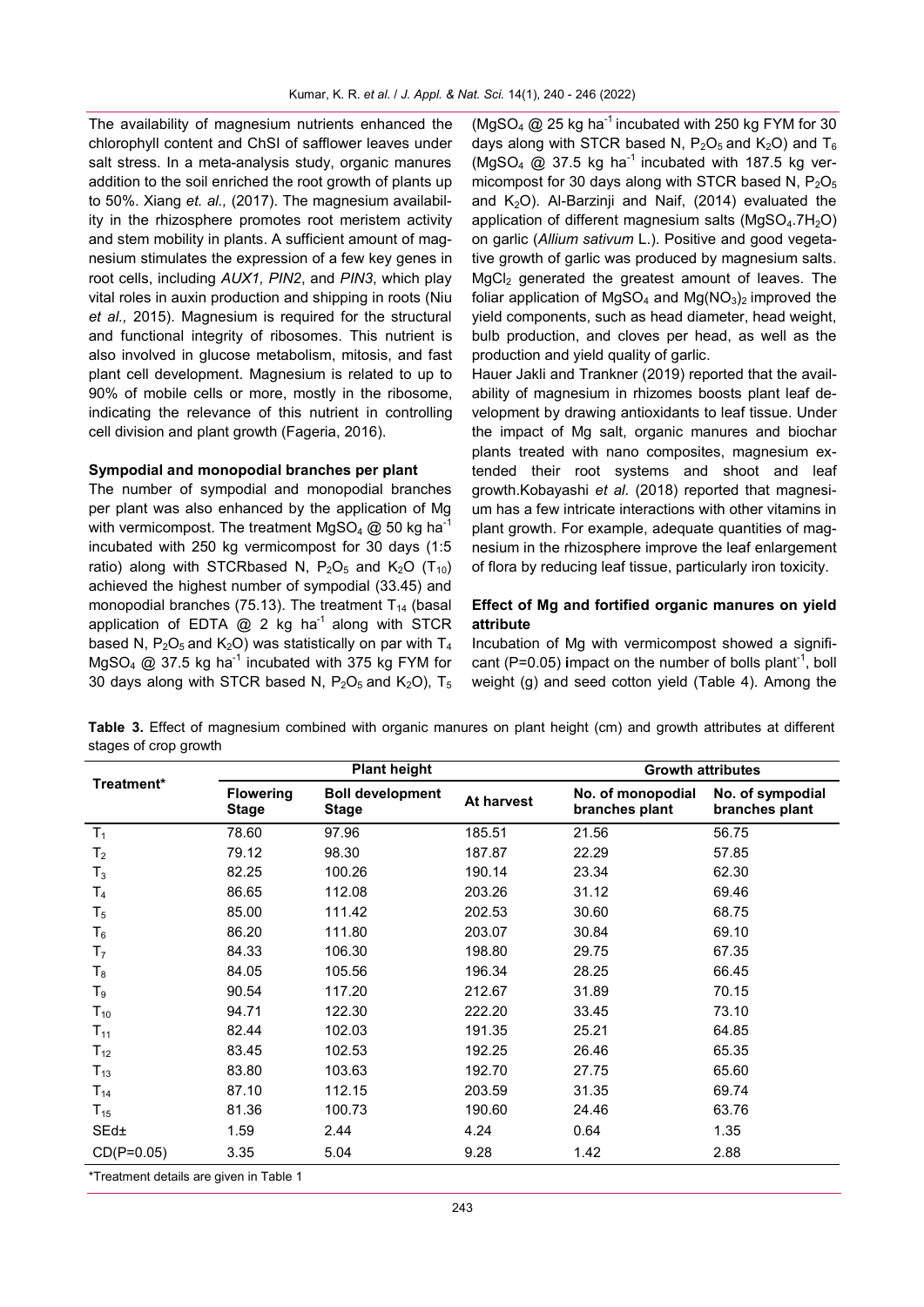The availability of magnesium nutrients enhanced the chlorophyll content and ChSI of safflower leaves under salt stress. In a meta-analysis study, organic manures addition to the soil enriched the root growth of plants up to 50%. Xiang *et. al.,* (2017). The magnesium availability in the rhizosphere promotes root meristem activity and stem mobility in plants. A sufficient amount of magnesium stimulates the expression of a few key genes in root cells, including *AUX1, PIN2*, and *PIN3*, which play vital roles in auxin production and shipping in roots (Niu *et al.,* 2015). Magnesium is required for the structural and functional integrity of ribosomes. This nutrient is also involved in glucose metabolism, mitosis, and fast plant cell development. Magnesium is related to up to 90% of mobile cells or more, mostly in the ribosome, indicating the relevance of this nutrient in controlling cell division and plant growth (Fageria, 2016).

#### **Sympodial and monopodial branches per plant**

The number of sympodial and monopodial branches per plant was also enhanced by the application of Mg with vermicompost. The treatment MgSO<sub>4</sub>  $@$  50 kg ha<sup>-1</sup> incubated with 250 kg vermicompost for 30 days (1:5 ratio) along with STCRbased N,  $P_2O_5$  and  $K_2O$  (T<sub>10</sub>) achieved the highest number of sympodial (33.45) and monopodial branches (75.13). The treatment  $T_{14}$  (basal application of EDTA  $@$  2 kg ha<sup>-1</sup> along with STCR based N,  $P_2O_5$  and  $K_2O$ ) was statistically on par with  $T_4$ MgSO<sub>4</sub> @ 37.5 kg ha<sup>-1</sup> incubated with 375 kg FYM for 30 days along with STCR based N,  $P_2O_5$  and  $K_2O$ ),  $T_5$ 

(MgSO<sub>4</sub>  $@$  25 kg ha<sup>-1</sup> incubated with 250 kg FYM for 30 days along with STCR based N,  $P_2O_5$  and  $K_2O$ ) and  $T_6$  $(MgSO<sub>4</sub>$  @ 37.5 kg ha<sup>-1</sup> incubated with 187.5 kg vermicompost for 30 days along with STCR based N,  $P_2O_5$ and  $K<sub>2</sub>O$ ). Al-Barzinji and Naif, (2014) evaluated the application of different magnesium salts ( $MgSO<sub>4</sub>$ .7H<sub>2</sub>O) on garlic (*Allium sativum* L.). Positive and good vegetative growth of garlic was produced by magnesium salts.  $MgCl<sub>2</sub>$  generated the greatest amount of leaves. The foliar application of MgSO<sub>4</sub> and Mg( $NO<sub>3</sub>$ )<sub>2</sub> improved the yield components, such as head diameter, head weight, bulb production, and cloves per head, as well as the production and yield quality of garlic.

Hauer Jakli and Trankner (2019) reported that the availability of magnesium in rhizomes boosts plant leaf development by drawing antioxidants to leaf tissue. Under the impact of Mg salt, organic manures and biochar plants treated with nano composites, magnesium extended their root systems and shoot and leaf growth.Kobayashi *et al.* (2018) reported that magnesium has a few intricate interactions with other vitamins in plant growth. For example, adequate quantities of magnesium in the rhizosphere improve the leaf enlargement of flora by reducing leaf tissue, particularly iron toxicity.

# **Effect of Mg and fortified organic manures on yield attribute**

Incubation of Mg with vermicompost showed a significant (P=0.05) impact on the number of bolls plant<sup>-1</sup>, boll weight (g) and seed cotton yield (Table 4). Among the

**Table 3.** Effect of magnesium combined with organic manures on plant height (cm) and growth attributes at different stages of crop growth

| Treatment*<br>No. of monopodial<br><b>Flowering</b><br><b>Boll development</b><br>At harvest<br><b>Stage</b><br>branches plant<br><b>Stage</b><br>T <sub>1</sub><br>78.60<br>97.96<br>185.51<br>21.56 | No. of sympodial<br>branches plant<br>56.75<br>57.85 |
|-------------------------------------------------------------------------------------------------------------------------------------------------------------------------------------------------------|------------------------------------------------------|
|                                                                                                                                                                                                       |                                                      |
|                                                                                                                                                                                                       |                                                      |
| 79.12<br>98.30<br>22.29<br>187.87<br>$\mathsf{T}_2$                                                                                                                                                   |                                                      |
| 82.25<br>100.26<br>190.14<br>23.34<br>$T_3$                                                                                                                                                           | 62.30                                                |
| 86.65<br>112.08<br>203.26<br>31.12<br>$T_4$                                                                                                                                                           | 69.46                                                |
| 111.42<br>202.53<br>85.00<br>30.60<br>$T_5$                                                                                                                                                           | 68.75                                                |
| 203.07<br>86.20<br>111.80<br>30.84<br>$\mathsf{T}_6$                                                                                                                                                  | 69.10                                                |
| 84.33<br>106.30<br>198.80<br>29.75<br>T <sub>7</sub>                                                                                                                                                  | 67.35                                                |
| 84.05<br>105.56<br>196.34<br>28.25<br>$T_8$                                                                                                                                                           | 66.45                                                |
| 212.67<br>31.89<br>T9<br>90.54<br>117.20                                                                                                                                                              | 70.15                                                |
| 222.20<br>94.71<br>122.30<br>33.45<br>$T_{10}$                                                                                                                                                        | 73.10                                                |
| 82.44<br>102.03<br>191.35<br>25.21<br>$T_{11}$                                                                                                                                                        | 64.85                                                |
| 83.45<br>192.25<br>26.46<br>102.53<br>$T_{12}$                                                                                                                                                        | 65.35                                                |
| 83.80<br>103.63<br>192.70<br>$T_{13}$<br>27.75                                                                                                                                                        | 65.60                                                |
| 87.10<br>112.15<br>203.59<br>31.35<br>$T_{14}$                                                                                                                                                        | 69.74                                                |
| 81.36<br>190.60<br>24.46<br>100.73<br>$T_{15}$                                                                                                                                                        | 63.76                                                |
| SEd±<br>1.59<br>2.44<br>4.24<br>0.64                                                                                                                                                                  | 1.35                                                 |
| $CD(P=0.05)$<br>3.35<br>5.04<br>9.28<br>1.42<br>$*T_{\text{max}}$ at the section of state that $\mathcal{A}$ is section to $T$ and $\mathcal{A}$                                                      | 2.88                                                 |

Treatment details are given in Table 1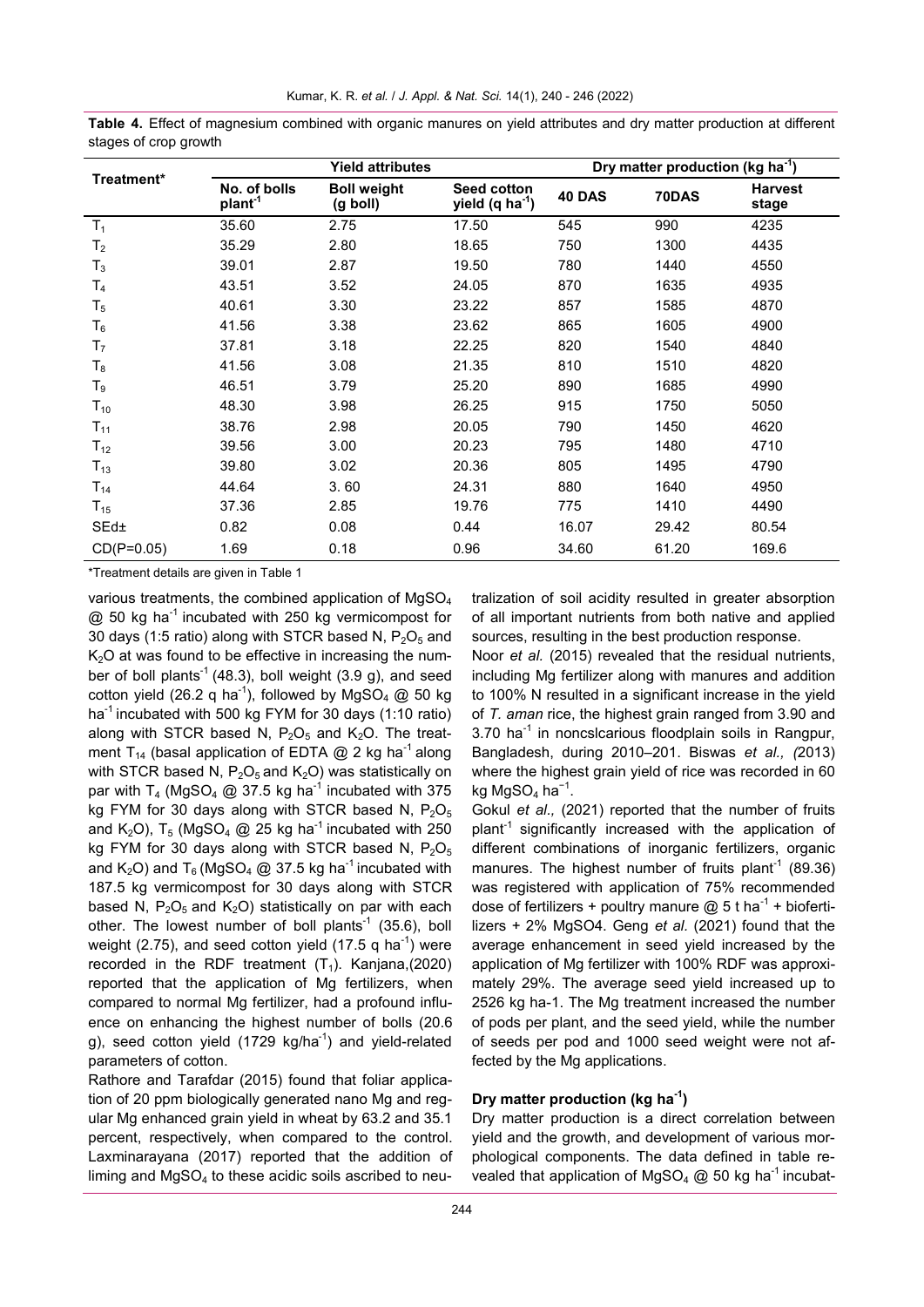| Treatment*     | <b>Yield attributes</b>             |                                |                                                   | Dry matter production (kg ha <sup>-1</sup> ) |       |                         |
|----------------|-------------------------------------|--------------------------------|---------------------------------------------------|----------------------------------------------|-------|-------------------------|
|                | No. of bolls<br>plant <sup>-1</sup> | <b>Boll weight</b><br>(g boll) | <b>Seed cotton</b><br>yield (q ha <sup>-1</sup> ) | 40 DAS                                       | 70DAS | <b>Harvest</b><br>stage |
| T <sub>1</sub> | 35.60                               | 2.75                           | 17.50                                             | 545                                          | 990   | 4235                    |
| T <sub>2</sub> | 35.29                               | 2.80                           | 18.65                                             | 750                                          | 1300  | 4435                    |
| $T_3$          | 39.01                               | 2.87                           | 19.50                                             | 780                                          | 1440  | 4550                    |
| T <sub>4</sub> | 43.51                               | 3.52                           | 24.05                                             | 870                                          | 1635  | 4935                    |
| $T_5$          | 40.61                               | 3.30                           | 23.22                                             | 857                                          | 1585  | 4870                    |
| $T_6$          | 41.56                               | 3.38                           | 23.62                                             | 865                                          | 1605  | 4900                    |
| T <sub>7</sub> | 37.81                               | 3.18                           | 22.25                                             | 820                                          | 1540  | 4840                    |
| $T_8$          | 41.56                               | 3.08                           | 21.35                                             | 810                                          | 1510  | 4820                    |
| T9             | 46.51                               | 3.79                           | 25.20                                             | 890                                          | 1685  | 4990                    |
| $T_{10}$       | 48.30                               | 3.98                           | 26.25                                             | 915                                          | 1750  | 5050                    |
| $T_{11}$       | 38.76                               | 2.98                           | 20.05                                             | 790                                          | 1450  | 4620                    |
| $T_{12}$       | 39.56                               | 3.00                           | 20.23                                             | 795                                          | 1480  | 4710                    |
| $T_{13}$       | 39.80                               | 3.02                           | 20.36                                             | 805                                          | 1495  | 4790                    |
| $T_{14}$       | 44.64                               | 3.60                           | 24.31                                             | 880                                          | 1640  | 4950                    |
| $T_{15}$       | 37.36                               | 2.85                           | 19.76                                             | 775                                          | 1410  | 4490                    |
| $SEd\pm$       | 0.82                                | 0.08                           | 0.44                                              | 16.07                                        | 29.42 | 80.54                   |
| $CD(P=0.05)$   | 1.69                                | 0.18                           | 0.96                                              | 34.60                                        | 61.20 | 169.6                   |

**Table 4.** Effect of magnesium combined with organic manures on yield attributes and dry matter production at different stages of crop growth

\*Treatment details are given in Table 1

various treatments, the combined application of MgSO<sub>4</sub>  $\omega$  50 kg ha<sup>-1</sup> incubated with 250 kg vermicompost for 30 days (1:5 ratio) along with STCR based N,  $P_2O_5$  and  $K<sub>2</sub>O$  at was found to be effective in increasing the number of boll plants<sup>-1</sup> (48.3), boll weight (3.9 g), and seed cotton yield (26.2 q ha<sup>-1</sup>), followed by MgSO<sub>4</sub> @ 50 kg ha<sup>-1</sup> incubated with 500 kg FYM for 30 days (1:10 ratio) along with STCR based N,  $P_2O_5$  and  $K_2O$ . The treatment T<sub>14</sub> (basal application of EDTA @ 2 kg ha<sup>-1</sup> along with STCR based N,  $P_2O_5$  and  $K_2O$ ) was statistically on par with T<sub>4</sub> (MgSO<sub>4</sub> @ 37.5 kg ha<sup>-1</sup> incubated with 375 kg FYM for 30 days along with STCR based N,  $P_2O_5$ and K<sub>2</sub>O), T<sub>5</sub> (MgSO<sub>4</sub> @ 25 kg ha<sup>-1</sup> incubated with 250 kg FYM for 30 days along with STCR based N,  $P_2O_5$ and  $K_2O$ ) and  $T_6$  (MgSO<sub>4</sub> @ 37.5 kg ha<sup>-1</sup> incubated with 187.5 kg vermicompost for 30 days along with STCR based N,  $P_2O_5$  and  $K_2O$ ) statistically on par with each other. The lowest number of boll plants<sup>-1</sup> (35.6), boll weight (2.75), and seed cotton yield (17.5 q ha<sup>-1</sup>) were recorded in the RDF treatment  $(T_1)$ . Kanjana,(2020) reported that the application of Mg fertilizers, when compared to normal Mg fertilizer, had a profound influence on enhancing the highest number of bolls (20.6 g), seed cotton yield (1729 kg/ha<sup>-1</sup>) and yield-related parameters of cotton.

Rathore and Tarafdar (2015) found that foliar application of 20 ppm biologically generated nano Mg and regular Mg enhanced grain yield in wheat by 63.2 and 35.1 percent, respectively, when compared to the control. Laxminarayana (2017) reported that the addition of liming and  $MqSO<sub>4</sub>$  to these acidic soils ascribed to neutralization of soil acidity resulted in greater absorption of all important nutrients from both native and applied sources, resulting in the best production response.

Noor *et al.* (2015) revealed that the residual nutrients, including Mg fertilizer along with manures and addition to 100% N resulted in a significant increase in the yield of *T. aman* rice, the highest grain ranged from 3.90 and  $3.70$  ha<sup>-1</sup> in noncslcarious floodplain soils in Rangpur, Bangladesh, during 2010–201. Biswas *et al., (*2013) where the highest grain yield of rice was recorded in 60 kg MgSO $_4$  ha $^{-1}$ .

Gokul *et al.,* (2021) reported that the number of fruits plant<sup>-1</sup> significantly increased with the application of different combinations of inorganic fertilizers, organic manures. The highest number of fruits plant<sup>-1</sup> (89.36) was registered with application of 75% recommended dose of fertilizers + poultry manure  $@$  5 t ha<sup>-1</sup> + biofertilizers + 2% MgSO4. Geng *et al.* (2021) found that the average enhancement in seed yield increased by the application of Mg fertilizer with 100% RDF was approximately 29%. The average seed yield increased up to 2526 kg ha-1. The Mg treatment increased the number of pods per plant, and the seed yield, while the number of seeds per pod and 1000 seed weight were not affected by the Mg applications.

# **Dry matter production (kg ha-<sup>1</sup> )**

Dry matter production is a direct correlation between yield and the growth, and development of various morphological components. The data defined in table revealed that application of MgSO<sub>4</sub> @ 50 kg ha<sup>-1</sup> incubat-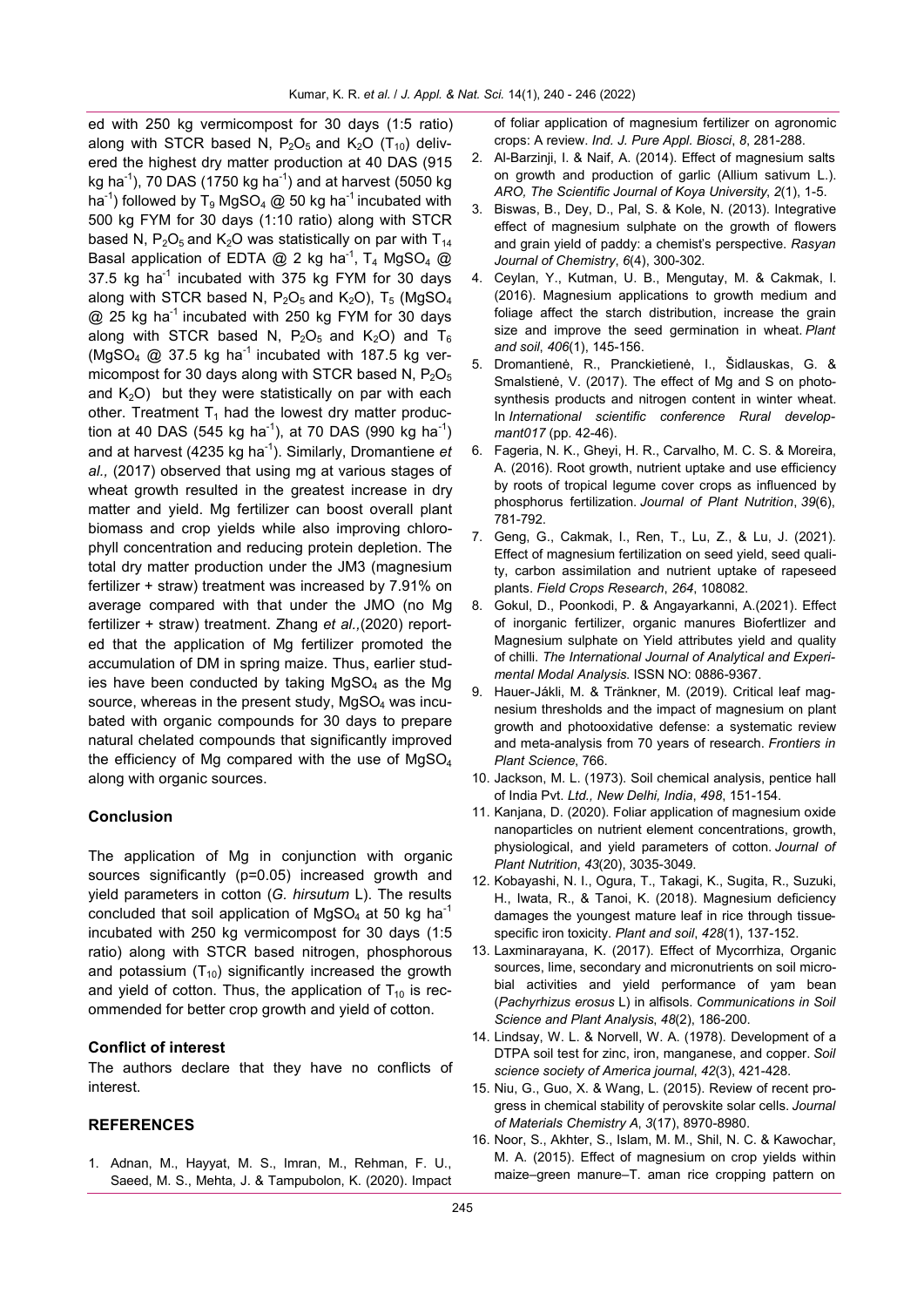ed with 250 kg vermicompost for 30 days (1:5 ratio) along with STCR based N,  $P_2O_5$  and  $K_2O$  (T<sub>10</sub>) delivered the highest dry matter production at 40 DAS (915 kg ha $^{-1}$ ), 70 DAS (1750 kg ha $^{-1}$ ) and at harvest (5050 kg ha<sup>-1</sup>) followed by T<sub>9</sub> MgSO<sub>4</sub> @ 50 kg ha<sup>-1</sup> incubated with 500 kg FYM for 30 days (1:10 ratio) along with STCR based N,  $P_2O_5$  and K<sub>2</sub>O was statistically on par with T<sub>14</sub> Basal application of EDTA @ 2 kg ha<sup>-1</sup>, T<sub>4</sub> MgSO<sub>4</sub> @ 37.5 kg ha $^{-1}$  incubated with 375 kg FYM for 30 days along with STCR based N,  $P_2O_5$  and  $K_2O$ ), T<sub>5</sub> (MgSO<sub>4</sub>  $@$  25 kg ha<sup>-1</sup> incubated with 250 kg FYM for 30 days along with STCR based N,  $P_2O_5$  and  $K_2O$ ) and  $T_6$ (MgSO<sub>4</sub>  $@$  37.5 kg ha<sup>-1</sup> incubated with 187.5 kg vermicompost for 30 days along with STCR based N,  $P_2O_5$ and  $K<sub>2</sub>O$ ) but they were statistically on par with each other. Treatment  $T_1$  had the lowest dry matter production at 40 DAS (545 kg ha<sup>-1</sup>), at 70 DAS (990 kg ha<sup>-1</sup>) and at harvest (4235 kg ha-<sup>1</sup> ). Similarly, Dromantiene *et al.,* (2017) observed that using mg at various stages of wheat growth resulted in the greatest increase in dry matter and yield. Mg fertilizer can boost overall plant biomass and crop yields while also improving chlorophyll concentration and reducing protein depletion. The total dry matter production under the JM3 (magnesium fertilizer + straw) treatment was increased by 7.91% on average compared with that under the JMO (no Mg fertilizer + straw) treatment. Zhang *et al.,*(2020) reported that the application of Mg fertilizer promoted the accumulation of DM in spring maize. Thus, earlier studies have been conducted by taking  $MgSO<sub>4</sub>$  as the Mg source, whereas in the present study,  $MgSO<sub>4</sub>$  was incubated with organic compounds for 30 days to prepare natural chelated compounds that significantly improved the efficiency of Mg compared with the use of  $MgSO<sub>4</sub>$ along with organic sources.

#### **Conclusion**

The application of Mg in conjunction with organic sources significantly (p=0.05) increased growth and yield parameters in cotton (*G. hirsutum* L). The results concluded that soil application of MgSO<sub>4</sub> at 50 kg ha<sup>-1</sup> incubated with 250 kg vermicompost for 30 days (1:5 ratio) along with STCR based nitrogen, phosphorous and potassium  $(T_{10})$  significantly increased the growth and yield of cotton. Thus, the application of  $T_{10}$  is recommended for better crop growth and yield of cotton.

#### **Conflict of interest**

The authors declare that they have no conflicts of interest.

## **REFERENCES**

1. Adnan, M., Hayyat, M. S., Imran, M., Rehman, F. U., Saeed, M. S., Mehta, J. & Tampubolon, K. (2020). Impact of foliar application of magnesium fertilizer on agronomic crops: A review. *Ind. J. Pure Appl. Biosci*, *8*, 281-288.

- 2. Al-Barzinji, I. & Naif, A. (2014). Effect of magnesium salts on growth and production of garlic (Allium sativum L.). *ARO, The Scientific Journal of Koya University*, *2*(1), 1-5.
- 3. Biswas, B., Dey, D., Pal, S. & Kole, N. (2013). Integrative effect of magnesium sulphate on the growth of flowers and grain yield of paddy: a chemist's perspective. *Rasyan Journal of Chemistry*, *6*(4), 300-302.
- 4. Ceylan, Y., Kutman, U. B., Mengutay, M. & Cakmak, I. (2016). Magnesium applications to growth medium and foliage affect the starch distribution, increase the grain size and improve the seed germination in wheat. *Plant and soil*, *406*(1), 145-156.
- 5. Dromantienė, R., Pranckietienė, I., Šidlauskas, G. & Smalstienė, V. (2017). The effect of Mg and S on photosynthesis products and nitrogen content in winter wheat. In *International scientific conference Rural developmant017* (pp. 42-46).
- 6. Fageria, N. K., Gheyi, H. R., Carvalho, M. C. S. & Moreira, A. (2016). Root growth, nutrient uptake and use efficiency by roots of tropical legume cover crops as influenced by phosphorus fertilization. *Journal of Plant Nutrition*, *39*(6), 781-792.
- 7. Geng, G., Cakmak, I., Ren, T., Lu, Z., & Lu, J. (2021). Effect of magnesium fertilization on seed yield, seed quality, carbon assimilation and nutrient uptake of rapeseed plants. *Field Crops Research*, *264*, 108082.
- 8. Gokul, D., Poonkodi, P. & Angayarkanni, A.(2021). Effect of inorganic fertilizer, organic manures Biofertlizer and Magnesium sulphate on Yield attributes yield and quality of chilli. *The International Journal of Analytical and Experimental Modal Analysis*. ISSN NO: 0886-9367.
- 9. Hauer-Jákli, M. & Tränkner, M. (2019). Critical leaf magnesium thresholds and the impact of magnesium on plant growth and photooxidative defense: a systematic review and meta-analysis from 70 years of research. *Frontiers in Plant Science*, 766.
- 10. Jackson, M. L. (1973). Soil chemical analysis, pentice hall of India Pvt. *Ltd., New Delhi, India*, *498*, 151-154.
- 11. Kanjana, D. (2020). Foliar application of magnesium oxide nanoparticles on nutrient element concentrations, growth, physiological, and yield parameters of cotton. *Journal of Plant Nutrition*, *43*(20), 3035-3049.
- 12. Kobayashi, N. I., Ogura, T., Takagi, K., Sugita, R., Suzuki, H., Iwata, R., & Tanoi, K. (2018). Magnesium deficiency damages the youngest mature leaf in rice through tissuespecific iron toxicity. *Plant and soil*, *428*(1), 137-152.
- 13. Laxminarayana, K. (2017). Effect of Mycorrhiza, Organic sources, lime, secondary and micronutrients on soil microbial activities and yield performance of yam bean (*Pachyrhizus erosus* L) in alfisols. *Communications in Soil Science and Plant Analysis*, *48*(2), 186-200.
- 14. Lindsay, W. L. & Norvell, W. A. (1978). Development of a DTPA soil test for zinc, iron, manganese, and copper. *Soil science society of America journal*, *42*(3), 421-428.
- 15. Niu, G., Guo, X. & Wang, L. (2015). Review of recent progress in chemical stability of perovskite solar cells. *Journal of Materials Chemistry A*, *3*(17), 8970-8980.
- 16. Noor, S., Akhter, S., Islam, M. M., Shil, N. C. & Kawochar, M. A. (2015). Effect of magnesium on crop yields within maize–green manure–T. aman rice cropping pattern on